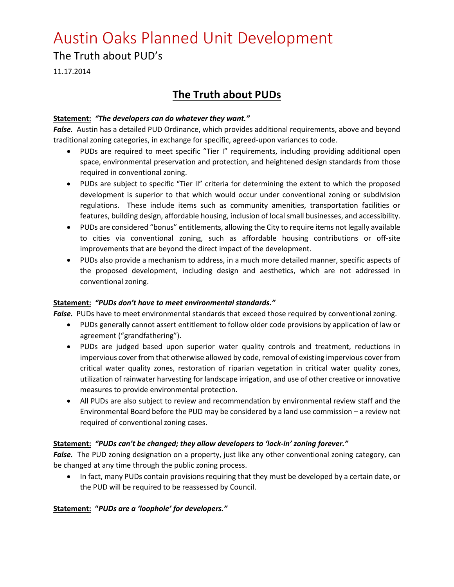## Austin Oaks Planned Unit Development

### The Truth about PUD's

11.17.2014

## **The Truth about PUDs**

#### **Statement:** *"The developers can do whatever they want."*

*False.* Austin has a detailed PUD Ordinance, which provides additional requirements, above and beyond traditional zoning categories, in exchange for specific, agreed-upon variances to code.

- PUDs are required to meet specific "Tier I" requirements, including providing additional open space, environmental preservation and protection, and heightened design standards from those required in conventional zoning.
- PUDs are subject to specific "Tier II" criteria for determining the extent to which the proposed development is superior to that which would occur under conventional zoning or subdivision regulations. These include items such as community amenities, transportation facilities or features, building design, affordable housing, inclusion of local small businesses, and accessibility.
- PUDs are considered "bonus" entitlements, allowing the City to require items not legally available to cities via conventional zoning, such as affordable housing contributions or off-site improvements that are beyond the direct impact of the development.
- PUDs also provide a mechanism to address, in a much more detailed manner, specific aspects of the proposed development, including design and aesthetics, which are not addressed in conventional zoning.

#### **Statement:** *"PUDs don't have to meet environmental standards."*

False. PUDs have to meet environmental standards that exceed those required by conventional zoning.

- PUDs generally cannot assert entitlement to follow older code provisions by application of law or agreement ("grandfathering").
- PUDs are judged based upon superior water quality controls and treatment, reductions in impervious cover from that otherwise allowed by code, removal of existing impervious cover from critical water quality zones, restoration of riparian vegetation in critical water quality zones, utilization of rainwater harvesting for landscape irrigation, and use of other creative or innovative measures to provide environmental protection.
- All PUDs are also subject to review and recommendation by environmental review staff and the Environmental Board before the PUD may be considered by a land use commission – a review not required of conventional zoning cases.

#### **Statement:** *"PUDs can't be changed; they allow developers to 'lock-in' zoning forever."*

False. The PUD zoning designation on a property, just like any other conventional zoning category, can be changed at any time through the public zoning process.

• In fact, many PUDs contain provisions requiring that they must be developed by a certain date, or the PUD will be required to be reassessed by Council.

#### **Statement: "***PUDs are a 'loophole' for developers."*